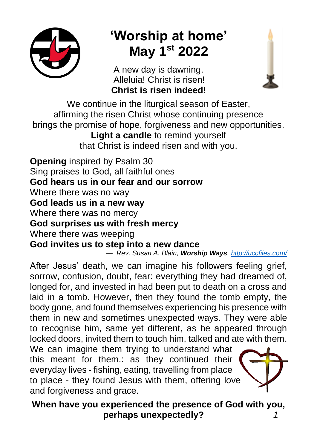

# **'Worship at home' May 1st 2022**

A new day is dawning. Alleluia! Christ is risen! **Christ is risen indeed!**



We continue in the liturgical season of Easter, affirming the risen Christ whose continuing presence brings the promise of hope, forgiveness and new opportunities. **Light a candle** to remind yourself that Christ is indeed risen and with you.

**Opening** inspired by Psalm 30 Sing praises to God, all faithful ones **God hears us in our fear and our sorrow** Where there was no way **God leads us in a new way** Where there was no mercy **God surprises us with fresh mercy** Where there was weeping **God invites us to step into a new dance**

*— Rev. Susan A. Blain, Worship Ways. <http://uccfiles.com/>*

After Jesus' death, we can imagine his followers feeling grief, sorrow, confusion, doubt, fear: everything they had dreamed of, longed for, and invested in had been put to death on a cross and laid in a tomb. However, then they found the tomb empty, the body gone, and found themselves experiencing his presence with them in new and sometimes unexpected ways. They were able to recognise him, same yet different, as he appeared through locked doors, invited them to touch him, talked and ate with them.

We can imagine them trying to understand what this meant for them.: as they continued their everyday lives - fishing, eating, travelling from place to place - they found Jesus with them, offering love and forgiveness and grace.



**When have you experienced the presence of God with you, perhaps unexpectedly?** *1*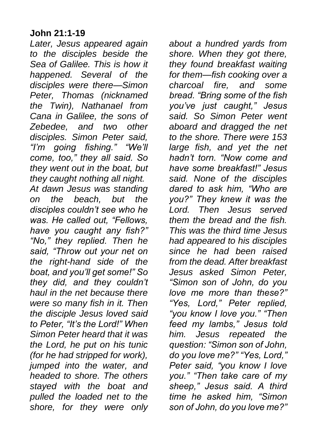#### **John 21:1-19**

*Later, Jesus appeared again to the disciples beside the Sea of Galilee. This is how it happened. Several of the disciples were there—Simon Peter, Thomas (nicknamed the Twin), Nathanael from Cana in Galilee, the sons of Zebedee, and two other disciples. Simon Peter said, "I'm going fishing." "We'll come, too," they all said. So they went out in the boat, but they caught nothing all night. At dawn Jesus was standing on the beach, but the disciples couldn't see who he was. He called out, "Fellows, have you caught any fish?" "No," they replied. Then he said, "Throw out your net on the right-hand side of the boat, and you'll get some!" So they did, and they couldn't haul in the net because there were so many fish in it. Then the disciple Jesus loved said to Peter, "It's the Lord!" When Simon Peter heard that it was the Lord, he put on his tunic (for he had stripped for work), jumped into the water, and headed to shore. The others stayed with the boat and pulled the loaded net to the shore, for they were only* 

*about a hundred yards from shore. When they got there, they found breakfast waiting for them—fish cooking over a charcoal fire, and some bread. "Bring some of the fish you've just caught," Jesus said. So Simon Peter went aboard and dragged the net to the shore. There were 153 large fish, and yet the net hadn't torn. "Now come and have some breakfast!" Jesus said. None of the disciples dared to ask him, "Who are you?" They knew it was the Lord. Then Jesus served them the bread and the fish. This was the third time Jesus had appeared to his disciples since he had been raised from the dead. After breakfast Jesus asked Simon Peter, "Simon son of John, do you love me more than these?" "Yes, Lord," Peter replied, "you know I love you." "Then feed my lambs," Jesus told him. Jesus repeated the question: "Simon son of John, do you love me?" "Yes, Lord," Peter said, "you know I love you." "Then take care of my sheep," Jesus said. A third time he asked him, "Simon son of John, do you love me?"*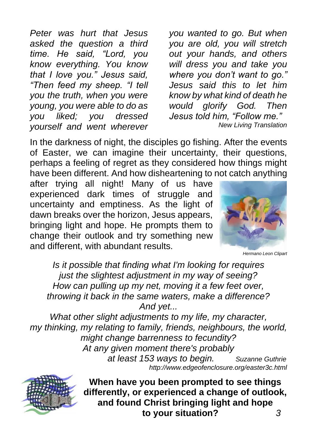*Peter was hurt that Jesus asked the question a third time. He said, "Lord, you know everything. You know that I love you." Jesus said, "Then feed my sheep. "I tell you the truth, when you were young, you were able to do as you liked; you dressed yourself and went wherever*  *you wanted to go. But when you are old, you will stretch out your hands, and others will dress you and take you where you don't want to go." Jesus said this to let him know by what kind of death he would glorify God. Then Jesus told him, "Follow me." New Living Translation*

In the darkness of night, the disciples go fishing. After the events of Easter, we can imagine their uncertainty, their questions, perhaps a feeling of regret as they considered how things might have been different. And how disheartening to not catch anything

after trying all night! Many of us have experienced dark times of struggle and uncertainty and emptiness. As the light of dawn breaks over the horizon, Jesus appears, bringing light and hope. He prompts them to change their outlook and try something new and different, with abundant results.



*Hermano Leon Clipart*

*Is it possible that finding what I'm looking for requires just the slightest adjustment in my way of seeing? How can pulling up my net, moving it a few feet over, throwing it back in the same waters, make a difference? And yet...*

*What other slight adjustments to my life, my character, my thinking, my relating to family, friends, neighbours, the world, might change barrenness to fecundity? At any given moment there's probably at least 153 ways to begin. Suzanne Guthrie http://www.edgeofenclosure.org/easter3c.html*



**When have you been prompted to see things differently, or experienced a change of outlook, and found Christ bringing light and hope to your situation?** *3*